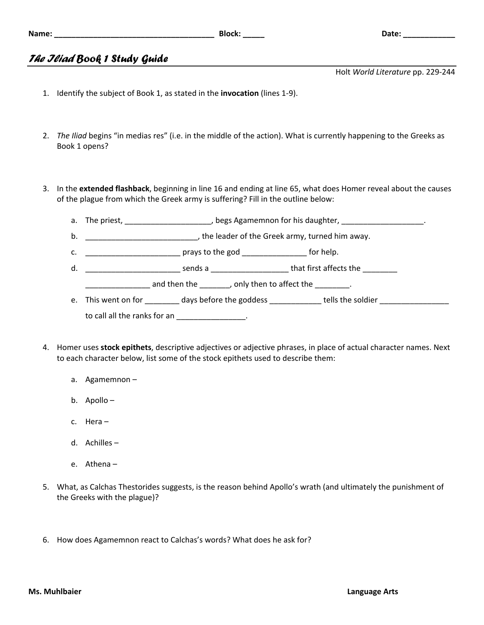## *The Iliad Book 1 Study Guide*

Holt *World Literature* pp. 229‐244

- 1. Identify the subject of Book 1, as stated in the **invocation** (lines 1‐9).
- 2. *The Iliad* begins "in medias res" (i.e. in the middle of the action). What is currently happening to the Greeks as Book 1 opens?
- 3. In the **extended flashback**, beginning in line 16 and ending at line 65, what does Homer reveal about the causes of the plague from which the Greek army is suffering? Fill in the outline below:
	- a. The priest, \_\_\_\_\_\_\_\_\_\_\_\_\_\_\_\_\_\_\_\_\_\_, begs Agamemnon for his daughter, \_\_\_\_\_\_\_\_\_\_\_\_\_\_\_\_\_\_\_\_\_.
	- b. **Example 2** and the leader of the Greek army, turned him away.
	- c. \_\_\_\_\_\_\_\_\_\_\_\_\_\_\_\_\_\_\_\_\_\_ prays to the god \_\_\_\_\_\_\_\_\_\_\_\_\_\_\_ for help.
	- d. \_\_\_\_\_\_\_\_\_\_\_\_\_\_\_\_\_\_\_\_\_\_ sends a \_\_\_\_\_\_\_\_\_\_\_\_\_\_\_\_\_\_ that first affects the \_\_\_\_\_\_\_\_

 $\frac{1}{2}$  and then the \_\_\_\_\_\_, only then to affect the \_\_\_\_\_\_\_.

- e. This went on for \_\_\_\_\_\_\_\_ days before the goddess \_\_\_\_\_\_\_\_\_\_\_ tells the soldier \_\_\_\_\_\_\_\_\_\_\_\_\_\_\_\_ to call all the ranks for an \_\_\_\_\_\_\_\_\_\_\_\_\_\_\_.
- 4. Homer uses **stock epithets**, descriptive adjectives or adjective phrases, in place of actual character names. Next to each character below, list some of the stock epithets used to describe them:
	- a. Agamemnon –
	- b. Apollo –
	- c. Hera –
	- d. Achilles –
	- e. Athena –
- 5. What, as Calchas Thestorides suggests, is the reason behind Apollo's wrath (and ultimately the punishment of the Greeks with the plague)?
- 6. How does Agamemnon react to Calchas's words? What does he ask for?